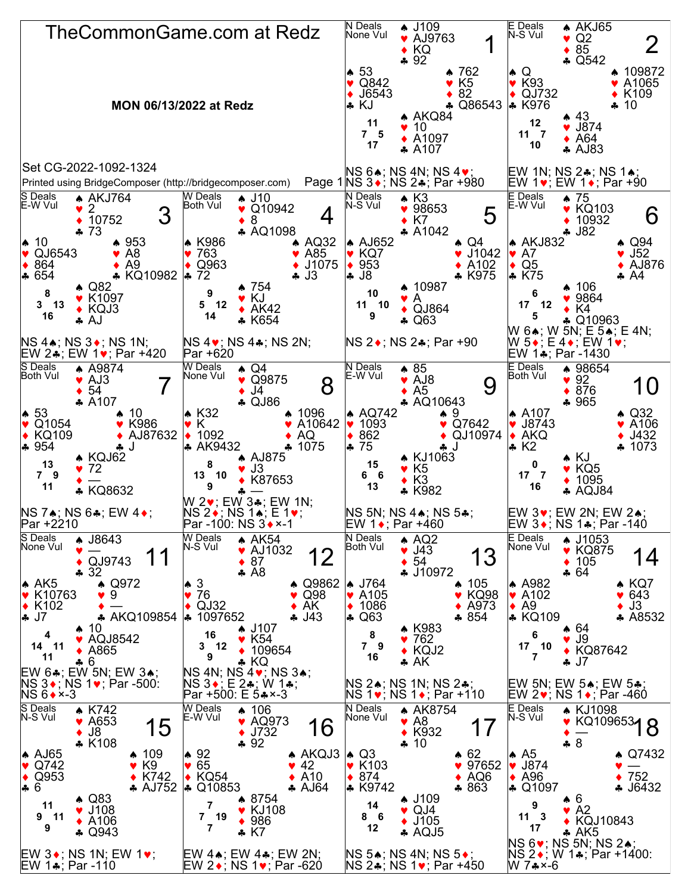